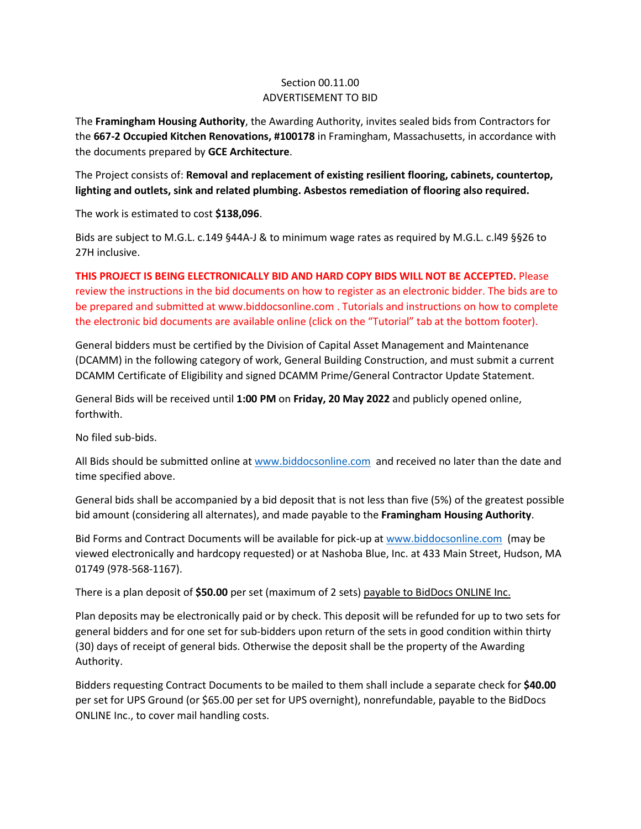## Section 00.11.00 ADVERTISEMENT TO BID

The **Framingham Housing Authority**, the Awarding Authority, invites sealed bids from Contractors for the **667-2 Occupied Kitchen Renovations, #100178** in Framingham, Massachusetts, in accordance with the documents prepared by **GCE Architecture**.

The Project consists of: **Removal and replacement of existing resilient flooring, cabinets, countertop, lighting and outlets, sink and related plumbing. Asbestos remediation of flooring also required.**

The work is estimated to cost **\$138,096**.

Bids are subject to M.G.L. c.149 §44A-J & to minimum wage rates as required by M.G.L. c.l49 §§26 to 27H inclusive.

**THIS PROJECT IS BEING ELECTRONICALLY BID AND HARD COPY BIDS WILL NOT BE ACCEPTED.** Please review the instructions in the bid documents on how to register as an electronic bidder. The bids are to be prepared and submitted at www.biddocsonline.com . Tutorials and instructions on how to complete the electronic bid documents are available online (click on the "Tutorial" tab at the bottom footer).

General bidders must be certified by the Division of Capital Asset Management and Maintenance (DCAMM) in the following category of work, General Building Construction, and must submit a current DCAMM Certificate of Eligibility and signed DCAMM Prime/General Contractor Update Statement.

General Bids will be received until **1:00 PM** on **Friday, 20 May 2022** and publicly opened online, forthwith.

No filed sub-bids.

All Bids should be submitted online at [www.biddocsonline.com](http://www.biddocsonline.com/) and received no later than the date and time specified above.

General bids shall be accompanied by a bid deposit that is not less than five (5%) of the greatest possible bid amount (considering all alternates), and made payable to the **Framingham Housing Authority**.

Bid Forms and Contract Documents will be available for pick-up at [www.biddocsonline.com](http://www.biddocsonline.com/) (may be viewed electronically and hardcopy requested) or at Nashoba Blue, Inc. at 433 Main Street, Hudson, MA 01749 (978-568-1167).

There is a plan deposit of **\$50.00** per set (maximum of 2 sets) payable to BidDocs ONLINE Inc.

Plan deposits may be electronically paid or by check. This deposit will be refunded for up to two sets for general bidders and for one set for sub-bidders upon return of the sets in good condition within thirty (30) days of receipt of general bids. Otherwise the deposit shall be the property of the Awarding Authority.

Bidders requesting Contract Documents to be mailed to them shall include a separate check for **\$40.00** per set for UPS Ground (or \$65.00 per set for UPS overnight), nonrefundable, payable to the BidDocs ONLINE Inc., to cover mail handling costs.